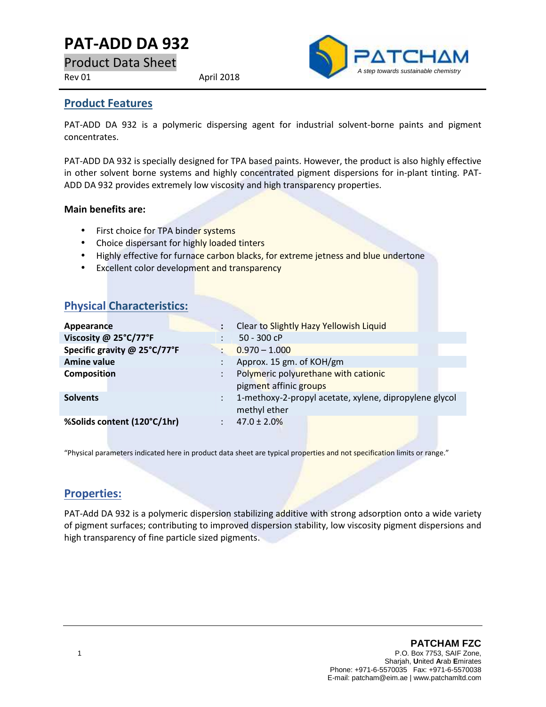# **PAT-ADD DA 932**

Product Data Sheet

Rev 01 April 2018



#### **Product Features**

PAT-ADD DA 932 is a polymeric dispersing agent for industrial solvent-borne paints and pigment concentrates.

PAT-ADD DA 932 is specially designed for TPA based paints. However, the product is also highly effective in other solvent borne systems and highly concentrated pigment dispersions for in-plant tinting. PAT- ADD DA 932 provides extremely low viscosity and high transparency properties.

#### **Main benefits are:**

- First choice for TPA binder systems
- Choice dispersant for highly loaded tinters
- Highly effective for furnace carbon blacks, for extreme jetness and blue undertone
- **Excellent color development and transparency**

### **Physical Characteristics:**

| Appearance                   |                          | Clear to Slightly Hazy Yellowish Liquid                |  |
|------------------------------|--------------------------|--------------------------------------------------------|--|
| Viscosity @ 25°C/77°F        | 50 - 300 cP              |                                                        |  |
| Specific gravity @ 25°C/77°F | $0.970 - 1.000$          |                                                        |  |
| <b>Amine value</b>           | Approx. 15 gm. of KOH/gm |                                                        |  |
| <b>Composition</b>           | pigment affinic groups   | Polymeric polyurethane with cationic                   |  |
| <b>Solvents</b>              | methyl ether             | 1-methoxy-2-propyl acetate, xylene, dipropylene glycol |  |
| %Solids content (120°C/1hr)  | $47.0 \pm 2.0\%$         |                                                        |  |

"Physical parameters indicated here in product data sheet are typical properties and not specification limits or range."

### **Properties:**

PAT-Add DA 932 is a polymeric dispersion stabilizing additive with strong adsorption onto a wide variety of pigment surfaces; contributing to improved dispersion stability, low viscosity pigment dispersions and high transparency of fine particle sized pigments.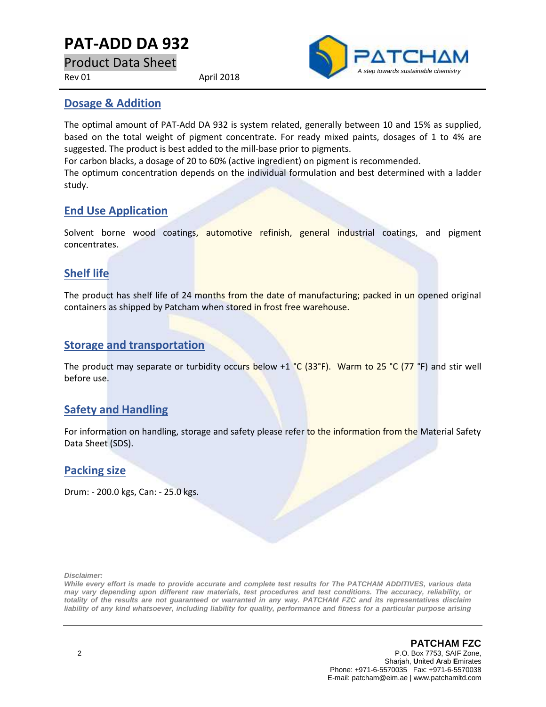# **PAT-ADD DA 932**

Product Data Sheet

Rev 01 April 2018



#### **Dosage & Addition**

The optimal amount of PAT-Add DA 932 is system related, generally between 10 and 15% as supplied, based on the total weight of pigment concentrate. For ready mixed paints, dosages of 1 to 4% are suggested. The product is best added to the mill-base prior to pigments.

For carbon blacks, a dosage of 20 to 60% (active ingredient) on pigment is recommended.

The optimum concentration depends on the individual formulation and best determined with a ladder study.

### **End Use Application**

Solvent borne wood coatings, automotive refinish, general industrial coatings, and pigment concentrates.

### **Shelf life**

The product has shelf life of 24 months from the date of manufacturing; packed in un opened original containers as shipped by Patcham when stored in frost free warehouse.

### **Storage and transportation**

The product may separate or turbidity occurs below +1 °C (33°F). Warm to 25 °C (77 °F) and stir well before use.

### **Safety and Handling**

For information on handling, storage and safety please refer to the information from the Material Safety Data Sheet (SDS).

#### **Packing size**

Drum: - 200.0 kgs, Can: - 25.0 kgs.

*Disclaimer:*

*While every effort is made to provide accurate and complete test results for The PATCHAM ADDITIVES, various data may vary depending upon different raw materials, test procedures and test conditions. The accuracy, reliability, or totality of the results are not guaranteed or warranted in any way. PATCHAM FZC and its representatives disclaim liability of any kind whatsoever, including liability for quality, performance and fitness for a particular purpose arising*